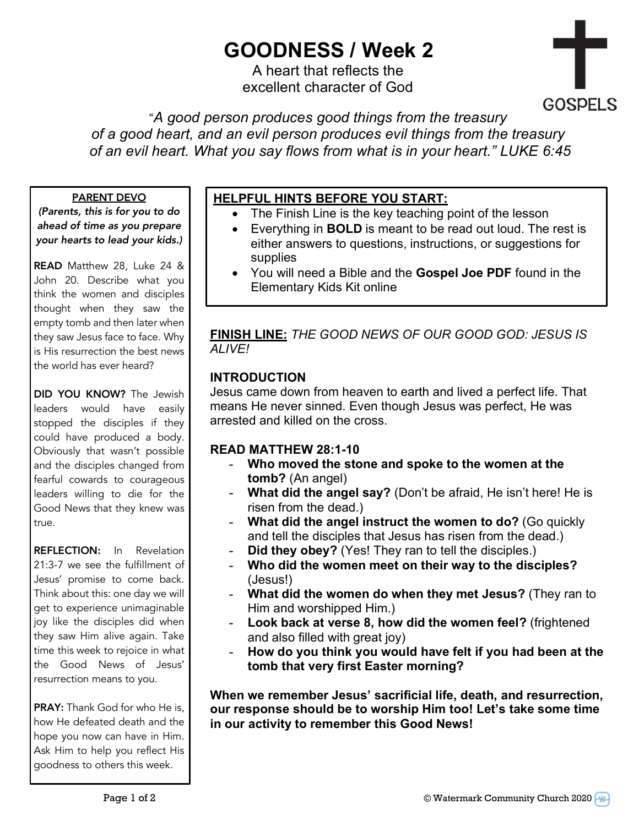# **GOODNESS / Week 2**

A heart that reflects the excellent character of God



"*A good person produces good things from the treasury of a good heart, and an evil person produces evil things from the treasury of an evil heart. What you say flows from what is in your heart." LUKE 6:45*

#### PARENT DEVO

*(Parents, this is for you to do ahead of time as you prepare your hearts to lead your kids.)*

READ Matthew 28, Luke 24 & John 20. Describe what you think the women and disciples thought when they saw the empty tomb and then later when they saw Jesus face to face. Why is His resurrection the best news the world has ever heard?

DID YOU KNOW? The Jewish leaders would have easily stopped the disciples if they could have produced a body. Obviously that wasn't possible and the disciples changed from fearful cowards to courageous leaders willing to die for the Good News that they knew was true.

REFLECTION: In Revelation 21:3-7 we see the fulfillment of Jesus' promise to come back. Think about this: one day we will get to experience unimaginable joy like the disciples did when they saw Him alive again. Take time this week to rejoice in what the Good News of Jesus' resurrection means to you.

PRAY: Thank God for who He is, how He defeated death and the hope you now can have in Him. Ask Him to help you reflect His goodness to others this week.

## **HELPFUL HINTS BEFORE YOU START:**

- The Finish Line is the key teaching point of the lesson
- Everything in **BOLD** is meant to be read out loud. The rest is either answers to questions, instructions, or suggestions for supplies
- You will need a Bible and the **Gospel Joe PDF** found in the Elementary Kids Kit online

**FINISH LINE:** *THE GOOD NEWS OF OUR GOOD GOD: JESUS IS ALIVE!*

### **INTRODUCTION**

Jesus came down from heaven to earth and lived a perfect life. That means He never sinned. Even though Jesus was perfect, He was arrested and killed on the cross.

### **READ MATTHEW 28:1-10**

- *-* **Who moved the stone and spoke to the women at the tomb?** (An angel)
- *-* **What did the angel say?** (Don't be afraid, He isn't here! He is risen from the dead.)
- *-* **What did the angel instruct the women to do?** (Go quickly and tell the disciples that Jesus has risen from the dead.)
- *-* **Did they obey?** (Yes! They ran to tell the disciples.)
- *-* **Who did the women meet on their way to the disciples?** (Jesus!)
- *-* **What did the women do when they met Jesus?** (They ran to Him and worshipped Him.)
- *-* **Look back at verse 8, how did the women feel?** (frightened and also filled with great joy)
- *-* **How do you think you would have felt if you had been at the tomb that very first Easter morning?**

**When we remember Jesus' sacrificial life, death, and resurrection, our response should be to worship Him too! Let's take some time in our activity to remember this Good News!**